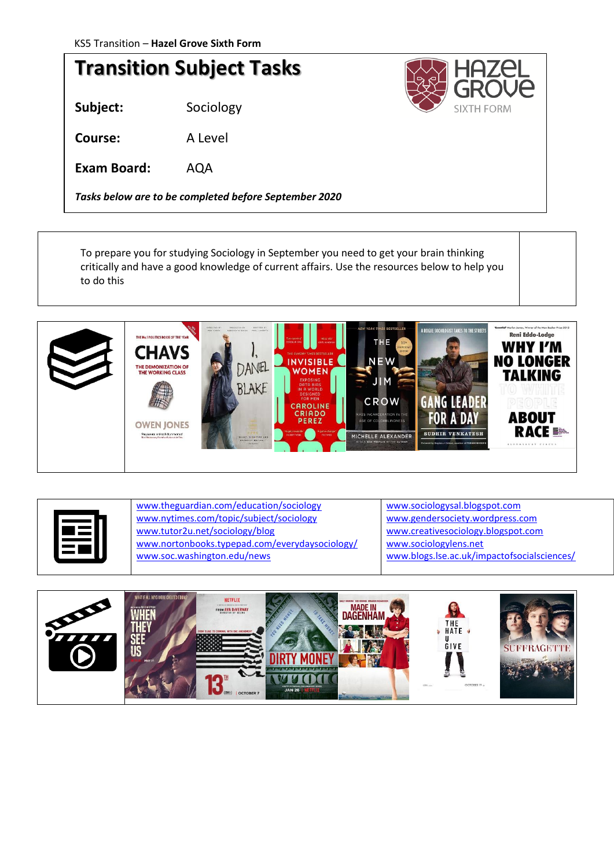## **Transition Subject Tasks**

**Subject:** Sociology

**Course:** A Level

**Exam Board:** AQA

*Tasks below are to be completed before September 2020*

SIXTH FORM

To prepare you for studying Sociology in September you need to get your brain thinking critically and have a good knowledge of current affairs. Use the resources below to help you to do this





[www.theguardian.com/education/sociology](http://www.theguardian.com/education/sociology) [www.nytimes.com/topic/subject/sociology](http://www.nytimes.com/topic/subject/sociology) [www.tutor2u.net/sociology/blog](http://www.tutor2u.net/sociology/blog) [www.nortonbooks.typepad.com/everydaysociology/](http://www.nortonbooks.typepad.com/everydaysociology/) [www.soc.washington.edu/news](http://www.soc.washington.edu/news)

[www.sociologysal.blogspot.com](http://www.sociologysal.blogspot.com/) [www.gendersociety.wordpress.com](http://www.gendersociety.wordpress.com/) [www.creativesociology.blogspot.com](http://www.creativesociology.blogspot.com/) [www.sociologylens.net](http://www.sociologylens.net/) [www.blogs.lse.ac.uk/impactofsocialsciences/](http://www.blogs.lse.ac.uk/impactofsocialsciences/)